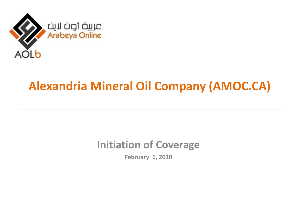

# **Alexandria Mineral Oil Company (AMOC.CA)**

### **Initiation of Coverage**

**February 6, 2018**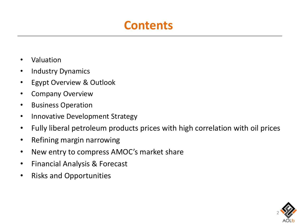## **Contents**

- Valuation
- Industry Dynamics
- Egypt Overview & Outlook
- Company Overview
- Business Operation
- Innovative Development Strategy
- Fully liberal petroleum products prices with high correlation with oil prices
- Refining margin narrowing
- New entry to compress AMOC's market share
- Financial Analysis & Forecast
- Risks and Opportunities

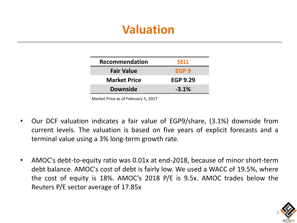# **Valuation**

| Recommendation      | <b>SELL</b>     |
|---------------------|-----------------|
| <b>Fair Value</b>   | EGP 9           |
| <b>Market Price</b> | <b>EGP 9.29</b> |
| <b>Downside</b>     | $-3.1%$         |
|                     |                 |

Market Price as of February 5, 2017

- Our DCF valuation indicates a fair value of EGP9/share, (3.1%) downside from current levels. The valuation is based on five years of explicit forecasts and a terminal value using a 3% long-term growth rate.
- AMOC's debt-to-equity ratio was 0.01x at end-2018, because of minor short-term debt balance. AMOC's cost of debt is fairly low. We used a WACC of 19.5%, where the cost of equity is 18%. AMOC's 2018 P/E is 9.5x. AMOC trades below the Reuters P/E sector average of 17.85x

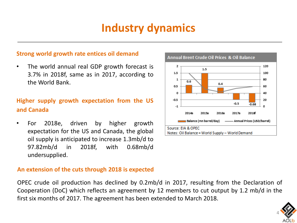## **Industry dynamics**

### **Strong world growth rate entices oil demand**

• The world annual real GDP growth forecast is 3.7% in 2018f, same as in 2017, according to the World Bank.

### **Higher supply growth expectation from the US and Canada**

• For 2018e, driven by higher growth expectation for the US and Canada, the global oil supply is anticipated to increase 1.3mb/d to 97.82mb/d in 2018f, with 0.68mb/d undersupplied.



#### Annual Brent Crude Oil Prices & Oil Balance

### **An extension of the cuts through 2018 is expected**

OPEC crude oil production has declined by 0.2mb/d in 2017, resulting from the Declaration of Cooperation (DoC) which reflects an agreement by 12 members to cut output by 1.2 mb/d in the first six months of 2017. The agreement has been extended to March 2018.

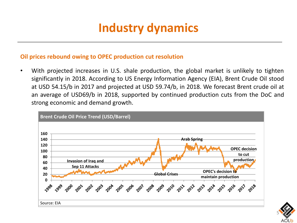# **Industry dynamics**

### **Oil prices rebound owing to OPEC production cut resolution**

• With projected increases in U.S. shale production, the global market is unlikely to tighten significantly in 2018. According to US Energy Information Agency (EIA), Brent Crude Oil stood at USD 54.15/b in 2017 and projected at USD 59.74/b, in 2018. We forecast Brent crude oil at an average of USD69/b in 2018, supported by continued production cuts from the DoC and strong economic and demand growth.



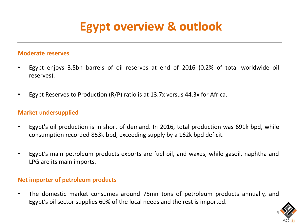# **Egypt overview & outlook**

#### **Moderate reserves**

- Egypt enjoys 3.5bn barrels of oil reserves at end of 2016 (0.2% of total worldwide oil reserves).
- Egypt Reserves to Production (R/P) ratio is at 13.7x versus 44.3x for Africa.

### **Market undersupplied**

- Egypt's oil production is in short of demand. In 2016, total production was 691k bpd, while consumption recorded 853k bpd, exceeding supply by a 162k bpd deficit.
- Egypt's main petroleum products exports are fuel oil, and waxes, while gasoil, naphtha and LPG are its main imports.

### **Net importer of petroleum products**

• The domestic market consumes around 75mn tons of petroleum products annually, and Egypt's oil sector supplies 60% of the local needs and the rest is imported.

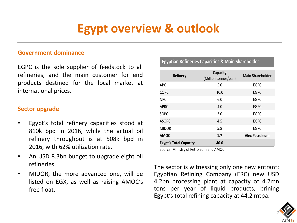# **Egypt overview & outlook**

#### **Government dominance**

EGPC is the sole supplier of feedstock to all refineries, and the main customer for end products destined for the local market at international prices.

### **Sector upgrade**

- Egypt's total refinery capacities stood at 810k bpd in 2016, while the actual oil refinery throughput is at 508k bpd in 2016, with 62% utilization rate.
- An USD 8.3bn budget to upgrade eight oil refineries.
- MIDOR, the more advanced one, will be listed on EGX, as well as raising AMOC's free float.

#### **Egyptian Refineries Capacities & Main Shareholder**

| <b>Refinery</b>               | <b>Capacity</b><br>(Million tonnes/p.a.) | <b>Main Shareholder</b> |
|-------------------------------|------------------------------------------|-------------------------|
| APC                           | 5.0                                      | <b>EGPC</b>             |
| <b>CORC</b>                   | 10.0                                     | <b>EGPC</b>             |
| <b>NPC</b>                    | 6.0                                      | <b>EGPC</b>             |
| APRC                          | 4.0                                      | <b>EGPC</b>             |
| <b>SOPC</b>                   | 3.0                                      | <b>EGPC</b>             |
| <b>ASORC</b>                  | 4.5                                      | <b>EGPC</b>             |
| <b>MIDOR</b>                  | 5.8                                      | <b>EGPC</b>             |
| <b>AMOC</b>                   | 1.7                                      | <b>Alex Petroleum</b>   |
| <b>Egypt's Total Capacity</b> | 40.0                                     |                         |

Source: Ministry of Petroleum and AMOC

The sector is witnessing only one new entrant; Egyptian Refining Company (ERC) new USD 4.2bn processing plant at capacity of 4.2mn tons per year of liquid products, brining Egypt's total refining capacity at 44.2 mtpa.

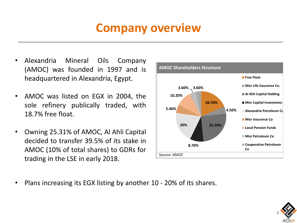# **Company overview**

- Alexandria Mineral Oils Company (AMOC) was founded in 1997 and is headquartered in Alexandria, Egypt.
- AMOC was listed on EGX in 2004, the sole refinery publically traded, with 18.7% free float.
- Owning 25.31% of AMOC, Al Ahli Capital decided to transfer 39.5% of its stake in AMOC (10% of total shares) to GDRs for trading in the LSE in early 2018.



• Plans increasing its EGX listing by another 10 - 20% of its shares.

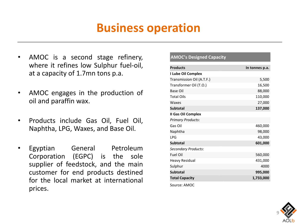## **Business operation**

- AMOC is a second stage refinery, where it refines low Sulphur fuel-oil, at a capacity of 1.7mn tons p.a.
- AMOC engages in the production of oil and paraffin wax.
- Products include Gas Oil, Fuel Oil, Naphtha, LPG, Waxes, and Base Oil.
- Egyptian General Petroleum Corporation (EGPC) is the sole supplier of feedstock, and the main customer for end products destined for the local market at international prices.

#### **AMOC's Designed Capacity**

| <b>Products</b>            | In tonnes p.a. |
|----------------------------|----------------|
| I Lube Oil Complex         |                |
| Transmission Oil (A.T.F.)  | 5,500          |
| Transformer Oil (T.O.)     | 16,500         |
| <b>Base Oil</b>            | 88,000         |
| <b>Total Oils</b>          | 110,000        |
| Waxes                      | 27,000         |
| <b>Subtotal</b>            | 137,000        |
| II Gas Oil Complex         |                |
| <b>Primary Products:</b>   |                |
| Gas Oil                    | 460,000        |
| Naphtha                    | 98,000         |
| LPG                        | 43,000         |
| <b>Subtotal</b>            | 601,000        |
| <b>Secondary Products:</b> |                |
| <b>Fuel Oil</b>            | 560,000        |
| <b>Heavy Residual</b>      | 431,000        |
| Sulphur                    | 4000           |
| <b>Subtotal</b>            | 995,000        |
| <b>Total Capacity</b>      | 1,733,000      |
| Source: AMOC               |                |

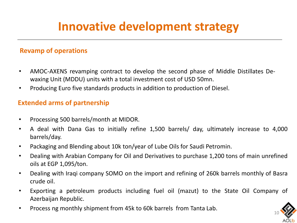# **Innovative development strategy**

### **Revamp of operations**

- AMOC-AXENS revamping contract to develop the second phase of Middle Distillates Dewaxing Unit (MDDU) units with a total investment cost of USD 50mn.
- Producing Euro five standards products in addition to production of Diesel.

### **Extended arms of partnership**

- Processing 500 barrels/month at MIDOR.
- A deal with Dana Gas to initially refine 1,500 barrels/ day, ultimately increase to 4,000 barrels/day.
- Packaging and Blending about 10k ton/year of Lube Oils for Saudi Petromin.
- Dealing with Arabian Company for Oil and Derivatives to purchase 1,200 tons of main unrefined oils at EGP 1,095/ton.
- Dealing with Iraqi company SOMO on the import and refining of 260k barrels monthly of Basra crude oil.
- Exporting a petroleum products including fuel oil (mazut) to the State Oil Company of Azerbaijan Republic.
- Process ng monthly shipment from 45k to 60k barrels from Tanta Lab.

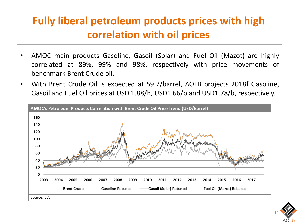## **Fully liberal petroleum products prices with high correlation with oil prices**

- AMOC main products Gasoline, Gasoil (Solar) and Fuel Oil (Mazot) are highly correlated at 89%, 99% and 98%, respectively with price movements of benchmark Brent Crude oil.
- With Brent Crude Oil is expected at 59.7/barrel, AOLB projects 2018f Gasoline, Gasoil and Fuel Oil prices at USD 1.88/b, USD1.66/b and USD1.78/b, respectively.



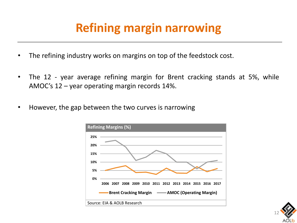# **Refining margin narrowing**

- The refining industry works on margins on top of the feedstock cost.
- The 12 year average refining margin for Brent cracking stands at 5%, while AMOC's 12 – year operating margin records 14%.
- However, the gap between the two curves is narrowing



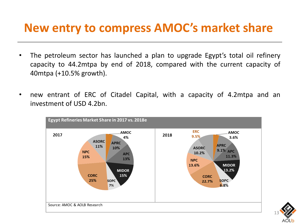## **New entry to compress AMOC's market share**

- The petroleum sector has launched a plan to upgrade Egypt's total oil refinery capacity to 44.2mtpa by end of 2018, compared with the current capacity of 40mtpa (+10.5% growth).
- new entrant of ERC of Citadel Capital, with a capacity of 4.2mtpa and an investment of USD 4.2bn.



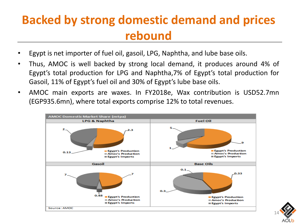# **Backed by strong domestic demand and prices rebound**

- Egypt is net importer of fuel oil, gasoil, LPG, Naphtha, and lube base oils.
- Thus, AMOC is well backed by strong local demand, it produces around 4% of Egypt's total production for LPG and Naphtha,7% of Egypt's total production for Gasoil, 11% of Egypt's fuel oil and 30% of Egypt's lube base oils.
- AMOC main exports are waxes. In FY2018e, Wax contribution is USD52.7mn (EGP935.6mn), where total exports comprise 12% to total revenues.



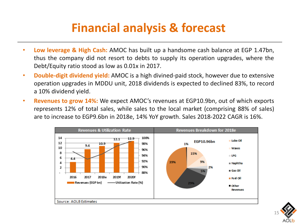# **Financial analysis & forecast**

- **Low leverage & High Cash:** AMOC has built up a handsome cash balance at EGP 1.47bn, thus the company did not resort to debts to supply its operation upgrades, where the Debt/Equity ratio stood as low as 0.01x in 2017.
- **Double-digit dividend yield:** AMOC is a high divined-paid stock, however due to extensive operation upgrades in MDDU unit, 2018 dividends is expected to declined 83%, to record a 10% dividend yield.
- **Revenues to grow 14%:** We expect AMOC's revenues at EGP10.9bn, out of which exports represents 12% of total sales, while sales to the local market (comprising 88% of sales) are to increase to EGP9.6bn in 2018e, 14% YoY growth. Sales 2018-2022 CAGR is 16%.



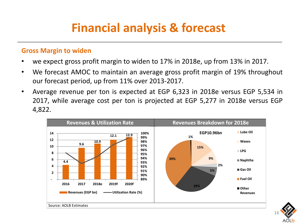# **Financial analysis & forecast**

### **Gross Margin to widen**

- we expect gross profit margin to widen to 17% in 2018e, up from 13% in 2017.
- We forecast AMOC to maintain an average gross profit margin of 19% throughout our forecast period, up from 11% over 2013-2017.
- Average revenue per ton is expected at EGP 6,323 in 2018e versus EGP 5,534 in 2017, while average cost per ton is projected at EGP 5,277 in 2018e versus EGP 4,822.



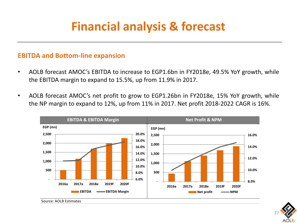# **Financial analysis & forecast**

### **EBITDA and Bottom-line expansion**

- AOLB forecast AMOC's EBITDA to increase to EGP1.6bn in FY2018e, 49.5% YoY growth, while the EBITDA margin to expand to 15.5%, up from 11.9% in 2017.
- AOLB forecast AMOC's net profit to grow to EGP1.26bn in FY2018e, 15% YoY growth, while the NP margin to expand to 12%, up from 11% in 2017. Net profit 2018-2022 CAGR is 16%.



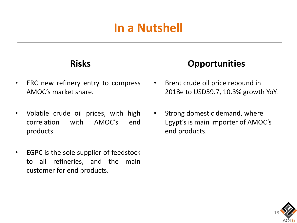# **In a Nutshell**

### **Risks**

- ERC new refinery entry to compress AMOC's market share.
- Volatile crude oil prices, with high correlation with AMOC's end products.
- EGPC is the sole supplier of feedstock to all refineries, and the main customer for end products.

### **Opportunities**

- Brent crude oil price rebound in 2018e to USD59.7, 10.3% growth YoY.
- Strong domestic demand, where Egypt's is main importer of AMOC's end products.